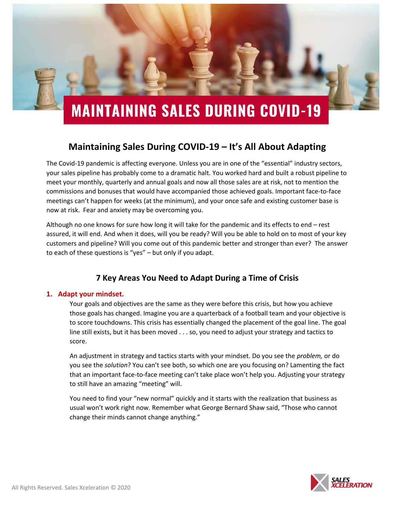

### **Maintaining Sales During COVID-19 – It's All About Adapting**

The Covid-19 pandemic is affecting everyone. Unless you are in one of the "essential" industry sectors, your sales pipeline has probably come to a dramatic halt. You worked hard and built a robust pipeline to meet your monthly, quarterly and annual goals and now all those sales are at risk, not to mention the commissions and bonuses that would have accompanied those achieved goals. Important face-to-face meetings can't happen for weeks (at the minimum), and your once safe and existing customer base is now at risk. Fear and anxiety may be overcoming you.

Although no one knows for sure how long it will take for the pandemic and its effects to end – rest assured, it will end. And when it does, will you be ready? Will you be able to hold on to most of your key customers and pipeline? Will you come out of this pandemic better and stronger than ever? The answer to each of these questions is "yes" – but only if you adapt.

### **7 Key Areas You Need to Adapt During a Time of Crisis**

#### **1. Adapt your mindset.**

Your goals and objectives are the same as they were before this crisis, but how you achieve those goals has changed. Imagine you are a quarterback of a football team and your objective is to score touchdowns. This crisis has essentially changed the placement of the goal line. The goal line still exists, but it has been moved . . . so, you need to adjust your strategy and tactics to score.

An adjustment in strategy and tactics starts with your mindset. Do you see the *problem,* or do you see the *solution*? You can't see both, so which one are you focusing on? Lamenting the fact that an important face-to-face meeting can't take place won't help you. Adjusting your strategy to still have an amazing "meeting" will.

You need to find your "new normal" quickly and it starts with the realization that business as usual won't work right now. Remember what George Bernard Shaw said, "Those who cannot change their minds cannot change anything."

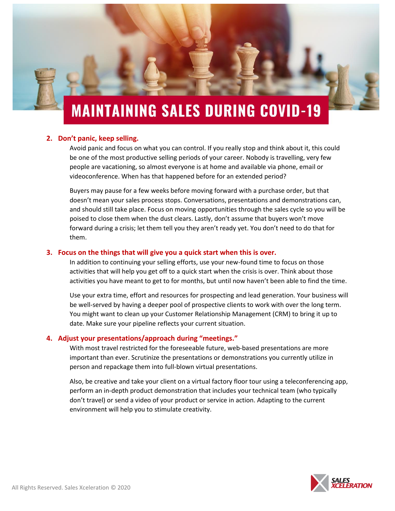# **MAINTAINING SALES DURING COVID-19**

#### **2. Don't panic, keep selling.**

Avoid panic and focus on what you can control. If you really stop and think about it, this could be one of the most productive selling periods of your career. Nobody is travelling, very few people are vacationing, so almost everyone is at home and available via phone, email or videoconference. When has that happened before for an extended period?

Buyers may pause for a few weeks before moving forward with a purchase order, but that doesn't mean your sales process stops. Conversations, presentations and demonstrations can, and should still take place. Focus on moving opportunities through the sales cycle so you will be poised to close them when the dust clears. Lastly, don't assume that buyers won't move forward during a crisis; let them tell you they aren't ready yet. You don't need to do that for them.

#### **3. Focus on the things that will give you a quick start when this is over.**

In addition to continuing your selling efforts, use your new-found time to focus on those activities that will help you get off to a quick start when the crisis is over. Think about those activities you have meant to get to for months, but until now haven't been able to find the time.

Use your extra time, effort and resources for prospecting and lead generation. Your business will be well-served by having a deeper pool of prospective clients to work with over the long term. You might want to clean up your Customer Relationship Management (CRM) to bring it up to date. Make sure your pipeline reflects your current situation.

#### **4. Adjust your presentations/approach during "meetings."**

With most travel restricted for the foreseeable future, web-based presentations are more important than ever. Scrutinize the presentations or demonstrations you currently utilize in person and repackage them into full-blown virtual presentations.

Also, be creative and take your client on a virtual factory floor tour using a teleconferencing app, perform an in-depth product demonstration that includes your technical team (who typically don't travel) or send a video of your product or service in action. Adapting to the current environment will help you to stimulate creativity.